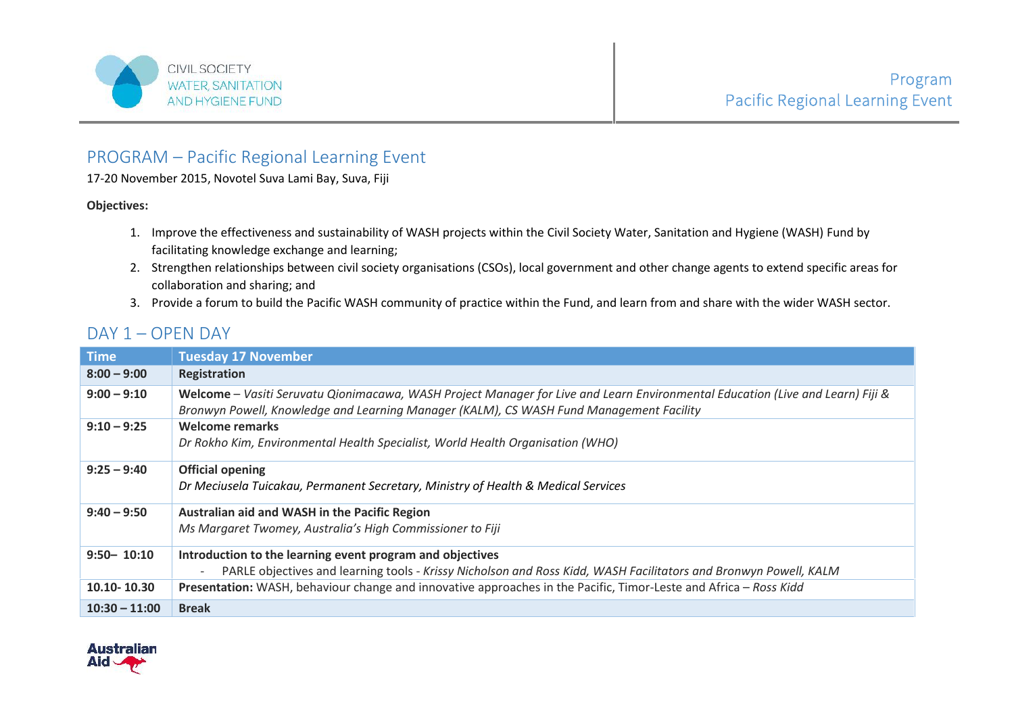

## PROGRAM – Pacific Regional Learning Event

17-20 November 2015, Novotel Suva Lami Bay, Suva, Fiji

## **Objectives:**

- 1. Improve the effectiveness and sustainability of WASH projects within the Civil Society Water, Sanitation and Hygiene (WASH) Fund by facilitating knowledge exchange and learning;
- 2. Strengthen relationships between civil society organisations (CSOs), local government and other change agents to extend specific areas for collaboration and sharing; and
- 3. Provide a forum to build the Pacific WASH community of practice within the Fund, and learn from and share with the wider WASH sector.

## DAY 1 – OPEN DAY

| <b>Time</b>     | <b>Tuesday 17 November</b>                                                                                                                                                                                                |
|-----------------|---------------------------------------------------------------------------------------------------------------------------------------------------------------------------------------------------------------------------|
| $8:00 - 9:00$   | Registration                                                                                                                                                                                                              |
| $9:00 - 9:10$   | Welcome – Vasiti Seruvatu Qionimacawa, WASH Project Manager for Live and Learn Environmental Education (Live and Learn) Fiji &<br>Bronwyn Powell, Knowledge and Learning Manager (KALM), CS WASH Fund Management Facility |
| $9:10 - 9:25$   | <b>Welcome remarks</b><br>Dr Rokho Kim, Environmental Health Specialist, World Health Organisation (WHO)                                                                                                                  |
| $9:25 - 9:40$   | <b>Official opening</b><br>Dr Meciusela Tuicakau, Permanent Secretary, Ministry of Health & Medical Services                                                                                                              |
| $9:40 - 9:50$   | Australian aid and WASH in the Pacific Region<br>Ms Margaret Twomey, Australia's High Commissioner to Fiji                                                                                                                |
| $9:50 - 10:10$  | Introduction to the learning event program and objectives<br>PARLE objectives and learning tools - Krissy Nicholson and Ross Kidd, WASH Facilitators and Bronwyn Powell, KALM<br>$\overline{\phantom{a}}$                 |
| 10.10-10.30     | Presentation: WASH, behaviour change and innovative approaches in the Pacific, Timor-Leste and Africa - Ross Kidd                                                                                                         |
| $10:30 - 11:00$ | <b>Break</b>                                                                                                                                                                                                              |